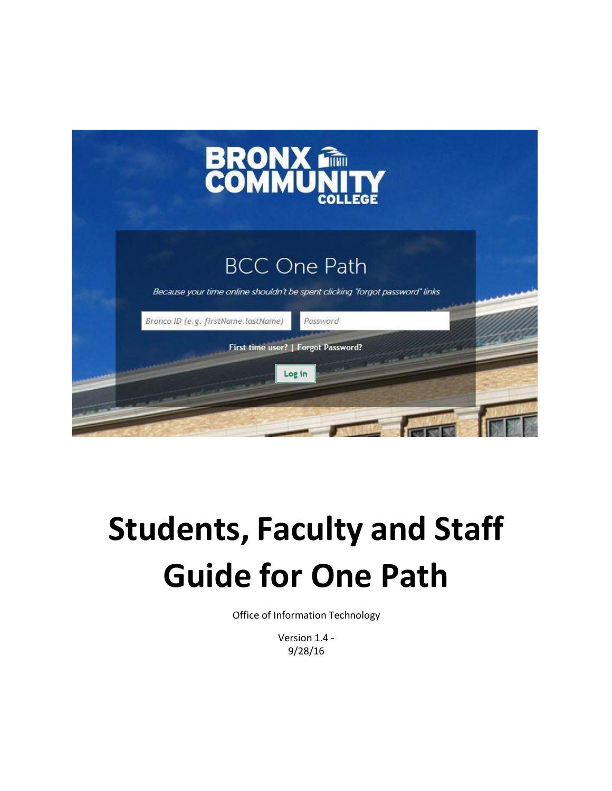

# **Students, Faculty and Staff Guide for One Path**

Office of Information Technology

Version 1.4 - 9/28/16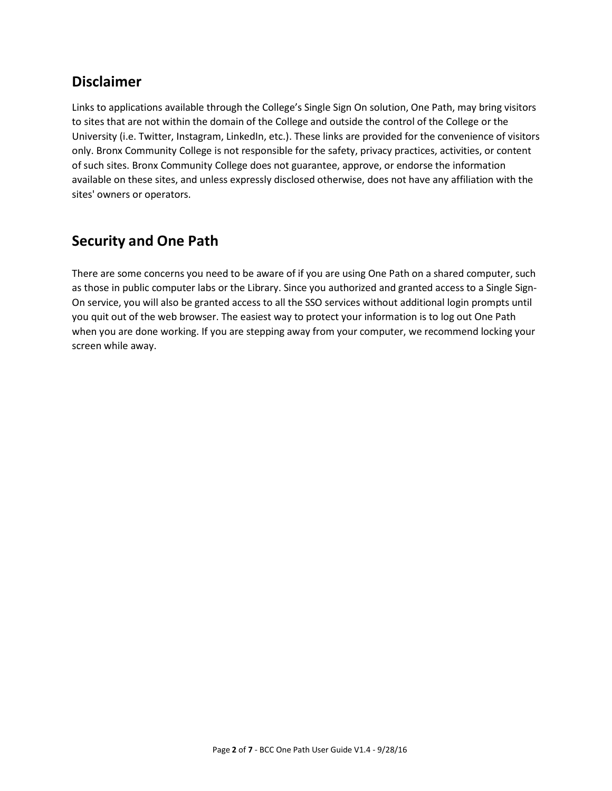### **Disclaimer**

Links to applications available through the College's Single Sign On solution, One Path, may bring visitors to sites that are not within the domain of the College and outside the control of the College or the University (i.e. Twitter, Instagram, LinkedIn, etc.). These links are provided for the convenience of visitors only. Bronx Community College is not responsible for the safety, privacy practices, activities, or content of such sites. Bronx Community College does not guarantee, approve, or endorse the information available on these sites, and unless expressly disclosed otherwise, does not have any affiliation with the sites' owners or operators.

### **Security and One Path**

There are some concerns you need to be aware of if you are using One Path on a shared computer, such as those in public computer labs or the Library. Since you authorized and granted access to a Single Sign-On service, you will also be granted access to all the SSO services without additional login prompts until you quit out of the web browser. The easiest way to protect your information is to log out One Path when you are done working. If you are stepping away from your computer, we recommend locking your screen while away.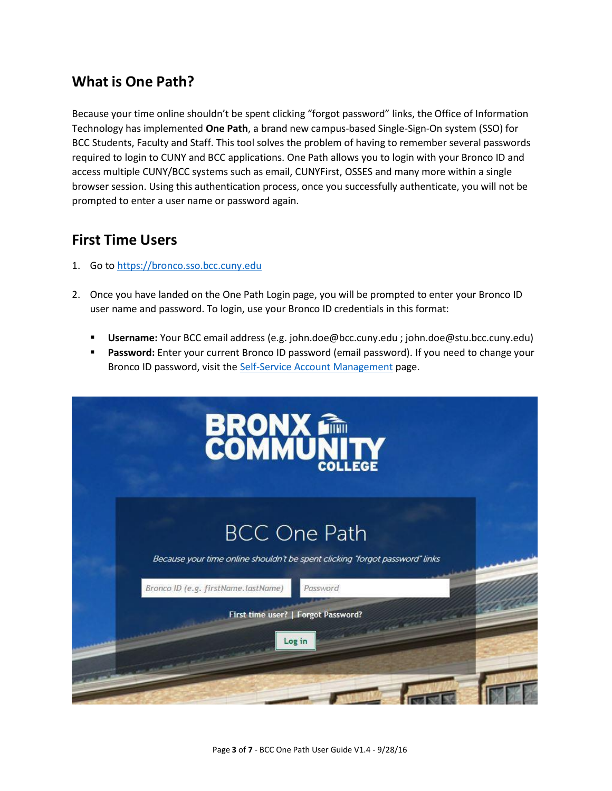#### **What is One Path?**

Because your time online shouldn't be spent clicking "forgot password" links, the Office of Information Technology has implemented **One Path**, a brand new campus-based Single-Sign-On system (SSO) for BCC Students, Faculty and Staff. This tool solves the problem of having to remember several passwords required to login to CUNY and BCC applications. One Path allows you to login with your Bronco ID and access multiple CUNY/BCC systems such as email, CUNYFirst, OSSES and many more within a single browser session. Using this authentication process, once you successfully authenticate, you will not be prompted to enter a user name or password again.

#### **First Time Users**

- 1. Go to [https://bronco.sso.bcc.cuny.edu](https://bronco.sso.bcc.cuny.edu/)
- 2. Once you have landed on the One Path Login page, you will be prompted to enter your Bronco ID user name and password. To login, use your Bronco ID credentials in this format:
	- **Username:** Your BCC email address (e.g. [john.doe@bcc.cuny.edu](mailto:john.doe@bcc.cuny.edu) ; john.doe@stu.bcc.cuny.edu)
	- **Password:** Enter your current Bronco ID password (email password). If you need to change your Bronco ID password, visit the Self-Service Account [Management](http://www.bcc.cuny.edu/information-technology/?p=IT-SSAM) page.

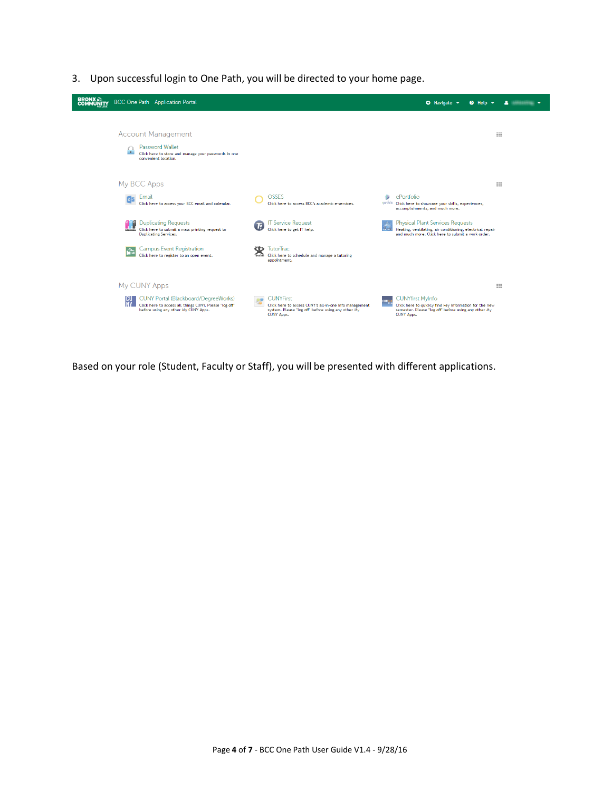3. Upon successful login to One Path, you will be directed to your home page.



Based on your role (Student, Faculty or Staff), you will be presented with different applications.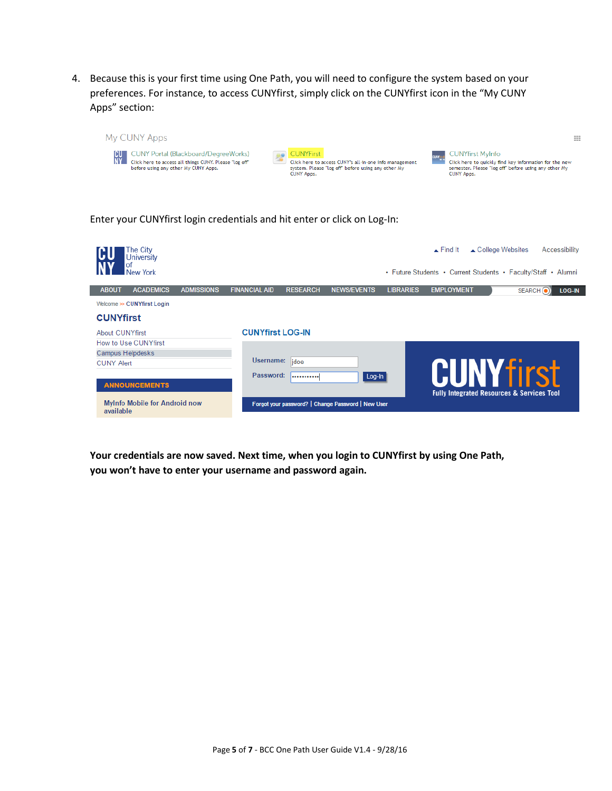4. Because this is your first time using One Path, you will need to configure the system based on your preferences. For instance, to access CUNYfirst, simply click on the CUNYfirst icon in the "My CUNY Apps" section:



#### Enter your CUNYfirst login credentials and hit enter or click on Log-In:



**Your credentials are now saved. Next time, when you login to CUNYfirst by using One Path, you won't have to enter your username and password again.**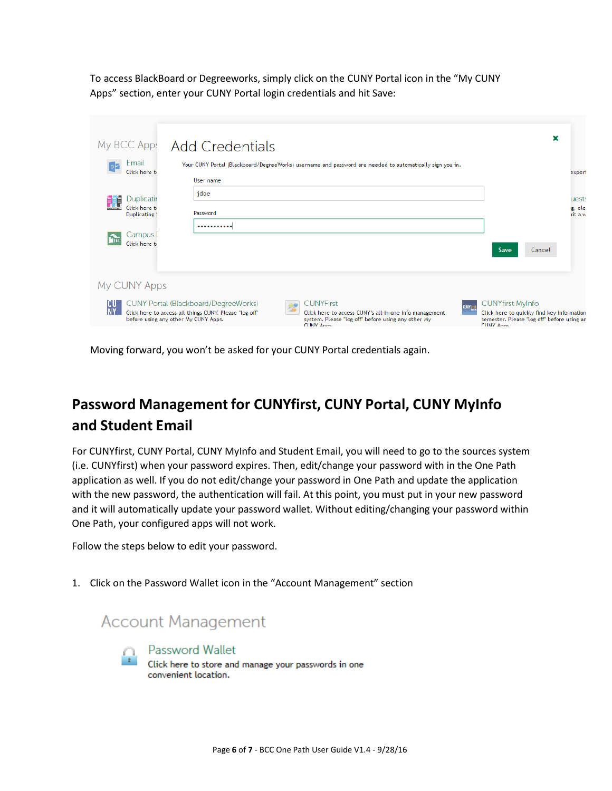To access BlackBoard or Degreeworks, simply click on the CUNY Portal icon in the "My CUNY Apps" section, enter your CUNY Portal login credentials and hit Save:

| My BCC Apps                                      | <b>Add Credentials</b>                                                                                                                                                                                                                                                                                | ×                                                                                                                                                       |
|--------------------------------------------------|-------------------------------------------------------------------------------------------------------------------------------------------------------------------------------------------------------------------------------------------------------------------------------------------------------|---------------------------------------------------------------------------------------------------------------------------------------------------------|
| Email<br>Click here to                           | Your CUNY Portal (Blackboard/DegreeWorks) username and password are needed to automatically sign you in.<br>User name                                                                                                                                                                                 | experi                                                                                                                                                  |
| 謂<br>Duplicatir<br>Click here to<br>Duplicating! | jdoe<br>Password                                                                                                                                                                                                                                                                                      | uests<br>g, ele<br>it a w                                                                                                                               |
| Campus  <br>Click here to                        |                                                                                                                                                                                                                                                                                                       | Save<br>Cancel                                                                                                                                          |
| My CUNY Apps                                     |                                                                                                                                                                                                                                                                                                       |                                                                                                                                                         |
| ICU<br><b>NY</b>                                 | <b>CUNYFirst</b><br><b>CUNY Portal (Blackboard/DegreeWorks)</b><br>Click here to access all things CUNY. Please "log off"<br>Click here to access CUNY's all-in-one info management<br>before using any other My CUNY Apps.<br>system. Please "log off" before using any other My<br><b>CHNY Anns</b> | <b>CUNYfirst MyInfo</b><br><b>CUNY</b><br>Click here to quickly find key information<br>semester. Please "log off" before using an<br><b>CLINY Anns</b> |

Moving forward, you won't be asked for your CUNY Portal credentials again.

# **Password Management for CUNYfirst, CUNY Portal, CUNY MyInfo and Student Email**

For CUNYfirst, CUNY Portal, CUNY MyInfo and Student Email, you will need to go to the sources system (i.e. CUNYfirst) when your password expires. Then, edit/change your password with in the One Path application as well. If you do not edit/change your password in One Path and update the application with the new password, the authentication will fail. At this point, you must put in your new password and it will automatically update your password wallet. Without editing/changing your password within One Path, your configured apps will not work.

Follow the steps below to edit your password.

1. Click on the Password Wallet icon in the "Account Management" section

## **Account Management**



Password Wallet Click here to store and manage your passwords in one convenient location.